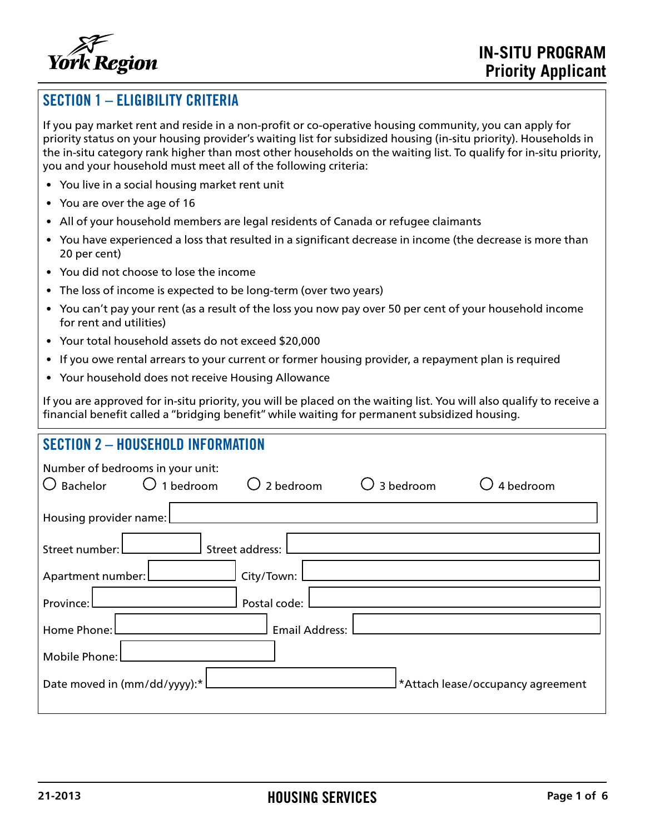

# SECTION 1 – ELIGIBILITY CRITERIA

If you pay market rent and reside in a non-profit or co-operative housing community, you can apply for priority status on your housing provider's waiting list for subsidized housing (in-situ priority). Households in the in-situ category rank higher than most other households on the waiting list. To qualify for in-situ priority, you and your household must meet all of the following criteria:

- You live in a social housing market rent unit
- You are over the age of 16
- All of your household members are legal residents of Canada or refugee claimants
- You have experienced a loss that resulted in a significant decrease in income (the decrease is more than 20 per cent)
- You did not choose to lose the income
- The loss of income is expected to be long-term (over two years)
- You can't pay your rent (as a result of the loss you now pay over 50 per cent of your household income for rent and utilities)
- Your total household assets do not exceed \$20,000
- If you owe rental arrears to your current or former housing provider, a repayment plan is required
- Your household does not receive Housing Allowance

If you are approved for in-situ priority, you will be placed on the waiting list. You will also qualify to receive a financial benefit called a "bridging benefit" while waiting for permanent subsidized housing.

### SECTION 2 – HOUSEHOLD INFORMATION

| Number of bedrooms in your unit:<br>Bachelor | $\bigcirc$ 1 bedroom | 2 bedroom            | 3 bedroom | 4 bedroom                        |
|----------------------------------------------|----------------------|----------------------|-----------|----------------------------------|
| Housing provider name:                       |                      |                      |           |                                  |
| Street number: L                             | Street address: [    |                      |           |                                  |
|                                              |                      | ______] City/Town: [ |           |                                  |
| Province: L                                  |                      | Postal code:         |           |                                  |
|                                              |                      |                      |           |                                  |
| Mobile Phone:                                |                      |                      |           |                                  |
| Date moved in $(mm/dd/yyyy)$ :* L            |                      |                      |           | Attach lease/occupancy agreement |
|                                              |                      |                      |           |                                  |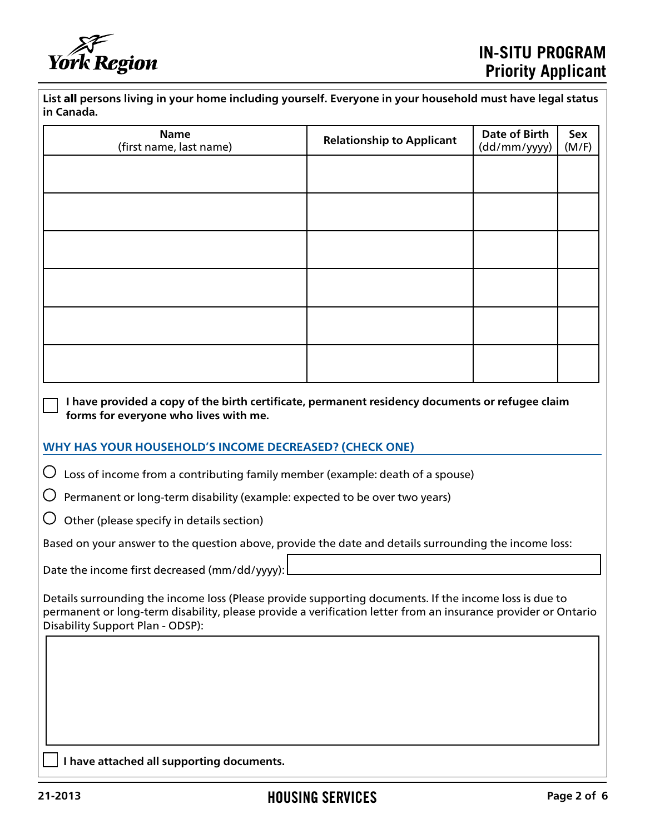

| List all persons living in your home including yourself. Everyone in your household must have legal status |  |
|------------------------------------------------------------------------------------------------------------|--|
| in Canada.                                                                                                 |  |

| <b>Name</b><br>(first name, last name)                                                                                                                                                                                                                      | <b>Relationship to Applicant</b> | Date of Birth<br>(dd/mm/yyyy) | Sex<br>(M/F) |
|-------------------------------------------------------------------------------------------------------------------------------------------------------------------------------------------------------------------------------------------------------------|----------------------------------|-------------------------------|--------------|
|                                                                                                                                                                                                                                                             |                                  |                               |              |
|                                                                                                                                                                                                                                                             |                                  |                               |              |
|                                                                                                                                                                                                                                                             |                                  |                               |              |
|                                                                                                                                                                                                                                                             |                                  |                               |              |
|                                                                                                                                                                                                                                                             |                                  |                               |              |
|                                                                                                                                                                                                                                                             |                                  |                               |              |
|                                                                                                                                                                                                                                                             |                                  |                               |              |
|                                                                                                                                                                                                                                                             |                                  |                               |              |
|                                                                                                                                                                                                                                                             |                                  |                               |              |
| I have provided a copy of the birth certificate, permanent residency documents or refugee claim<br>forms for everyone who lives with me.                                                                                                                    |                                  |                               |              |
| WHY HAS YOUR HOUSEHOLD'S INCOME DECREASED? (CHECK ONE)                                                                                                                                                                                                      |                                  |                               |              |
| $\bigcirc$<br>Loss of income from a contributing family member (example: death of a spouse)                                                                                                                                                                 |                                  |                               |              |
| Permanent or long-term disability (example: expected to be over two years)                                                                                                                                                                                  |                                  |                               |              |
| Other (please specify in details section)                                                                                                                                                                                                                   |                                  |                               |              |
| Based on your answer to the question above, provide the date and details surrounding the income loss:                                                                                                                                                       |                                  |                               |              |
| Date the income first decreased (mm/dd/yyyy):                                                                                                                                                                                                               |                                  |                               |              |
| Details surrounding the income loss (Please provide supporting documents. If the income loss is due to<br>permanent or long-term disability, please provide a verification letter from an insurance provider or Ontario<br>Disability Support Plan - ODSP): |                                  |                               |              |
|                                                                                                                                                                                                                                                             |                                  |                               |              |
|                                                                                                                                                                                                                                                             |                                  |                               |              |
|                                                                                                                                                                                                                                                             |                                  |                               |              |
|                                                                                                                                                                                                                                                             |                                  |                               |              |
| I have attached all supporting documents.                                                                                                                                                                                                                   |                                  |                               |              |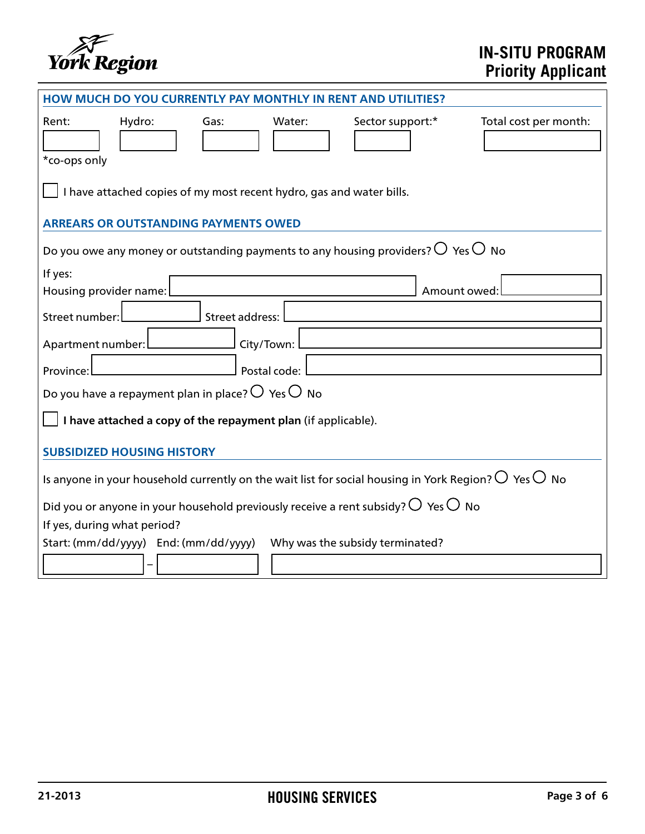

# **IN-SITU PROGRAM Priority Applicant**

| <b>HOW MUCH DO YOU CURRENTLY PAY MONTHLY IN RENT AND UTILITIES?</b>                                                                   |  |  |  |
|---------------------------------------------------------------------------------------------------------------------------------------|--|--|--|
| Hydro:<br>Total cost per month:<br>Rent:<br>Water:<br>Sector support:*<br>Gas:<br>*co-ops only                                        |  |  |  |
| I have attached copies of my most recent hydro, gas and water bills.                                                                  |  |  |  |
| <b>ARREARS OR OUTSTANDING PAYMENTS OWED</b>                                                                                           |  |  |  |
| Do you owe any money or outstanding payments to any housing providers? $\operatorname{\mathsf{O}}$ Yes $\operatorname{\mathsf{O}}$ No |  |  |  |
| If yes:                                                                                                                               |  |  |  |
| Housing provider name:<br>Amount owed:                                                                                                |  |  |  |
| Street number:<br><b>Street address:</b>                                                                                              |  |  |  |
| Apartment number:<br>City/Town:                                                                                                       |  |  |  |
| Postal code:<br>Province:                                                                                                             |  |  |  |
| Do you have a repayment plan in place? $\bigcirc$ Yes $\bigcirc$ No                                                                   |  |  |  |
| I have attached a copy of the repayment plan (if applicable).                                                                         |  |  |  |
| <b>SUBSIDIZED HOUSING HISTORY</b>                                                                                                     |  |  |  |
| Is anyone in your household currently on the wait list for social housing in York Region? $\bigcirc$ Yes $\bigcirc$ No                |  |  |  |
| Did you or anyone in your household previously receive a rent subsidy? $\bigcirc$ Yes $\bigcirc$ No                                   |  |  |  |
| If yes, during what period?                                                                                                           |  |  |  |
| Start: (mm/dd/yyyy) End: (mm/dd/yyyy)<br>Why was the subsidy terminated?                                                              |  |  |  |
|                                                                                                                                       |  |  |  |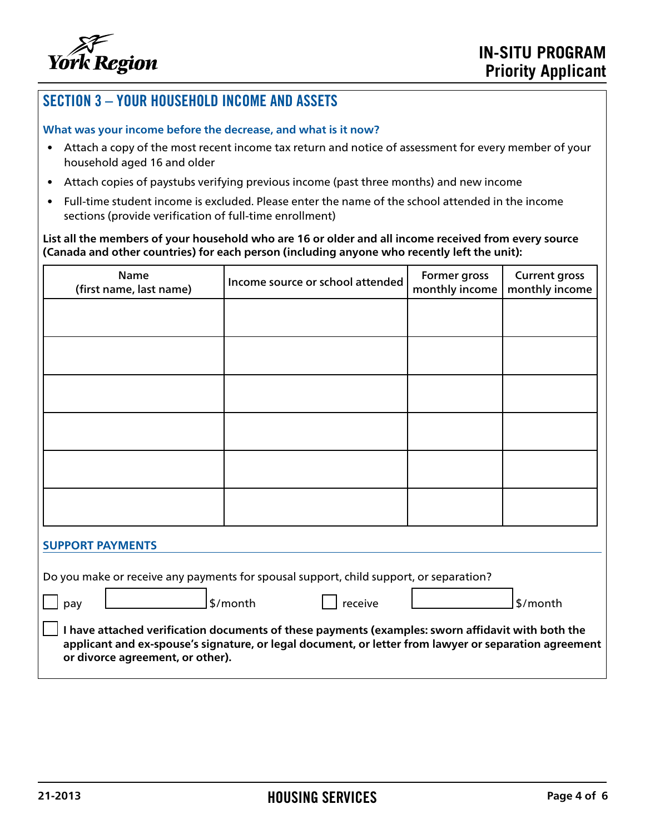

## SECTION 3 – YOUR HOUSEHOLD INCOME AND ASSETS

#### **What was your income before the decrease, and what is it now?**

- Attach a copy of the most recent income tax return and notice of assessment for every member of your household aged 16 and older
- Attach copies of paystubs verifying previous income (past three months) and new income
- Full-time student income is excluded. Please enter the name of the school attended in the income sections (provide verification of full-time enrollment)

**List all the members of your household who are 16 or older and all income received from every source (Canada and other countries) for each person (including anyone who recently left the unit):**

| <b>Name</b><br>(first name, last name)                                                                                                                                                                                                         | Income source or school attended                                                       | Former gross<br>monthly income | <b>Current gross</b><br>monthly income |
|------------------------------------------------------------------------------------------------------------------------------------------------------------------------------------------------------------------------------------------------|----------------------------------------------------------------------------------------|--------------------------------|----------------------------------------|
|                                                                                                                                                                                                                                                |                                                                                        |                                |                                        |
|                                                                                                                                                                                                                                                |                                                                                        |                                |                                        |
|                                                                                                                                                                                                                                                |                                                                                        |                                |                                        |
|                                                                                                                                                                                                                                                |                                                                                        |                                |                                        |
|                                                                                                                                                                                                                                                |                                                                                        |                                |                                        |
|                                                                                                                                                                                                                                                |                                                                                        |                                |                                        |
|                                                                                                                                                                                                                                                |                                                                                        |                                |                                        |
| <b>SUPPORT PAYMENTS</b>                                                                                                                                                                                                                        |                                                                                        |                                |                                        |
|                                                                                                                                                                                                                                                | Do you make or receive any payments for spousal support, child support, or separation? |                                |                                        |
| pay                                                                                                                                                                                                                                            | \$/month<br>receive                                                                    |                                | \$/month                               |
| I have attached verification documents of these payments (examples: sworn affidavit with both the<br>applicant and ex-spouse's signature, or legal document, or letter from lawyer or separation agreement<br>or divorce agreement, or other). |                                                                                        |                                |                                        |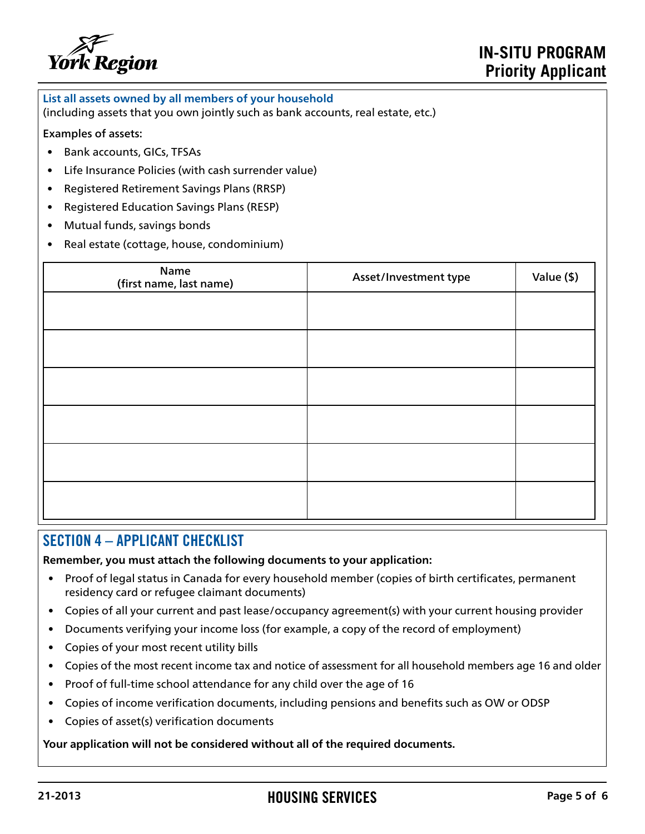

**List all assets owned by all members of your household**

(including assets that you own jointly such as bank accounts, real estate, etc.)

#### Examples of assets:

- Bank accounts, GICs, TFSAs
- Life Insurance Policies (with cash surrender value)
- Registered Retirement Savings Plans (RRSP)
- Registered Education Savings Plans (RESP)
- Mutual funds, savings bonds
- Real estate (cottage, house, condominium)

| Name<br>(first name, last name) | Asset/Investment type | Value (\$) |
|---------------------------------|-----------------------|------------|
|                                 |                       |            |
|                                 |                       |            |
|                                 |                       |            |
|                                 |                       |            |
|                                 |                       |            |
|                                 |                       |            |

### SECTION 4 – APPLICANT CHECKLIST

**Remember, you must attach the following documents to your application:**

- Proof of legal status in Canada for every household member (copies of birth certificates, permanent residency card or refugee claimant documents)
- Copies of all your current and past lease/occupancy agreement(s) with your current housing provider
- Documents verifying your income loss (for example, a copy of the record of employment)
- Copies of your most recent utility bills
- Copies of the most recent income tax and notice of assessment for all household members age 16 and older
- Proof of full-time school attendance for any child over the age of 16
- Copies of income verification documents, including pensions and benefits such as OW or ODSP
- Copies of asset(s) verification documents

**Your application will not be considered without all of the required documents.**